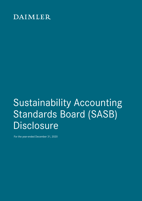## DAIMLER

# Sustainability Accounting Standards Board (SASB) **Disclosure**

For the year-ended December 31, 2020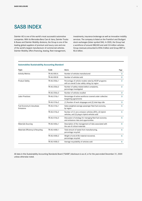## SASB INDEX

Daimler AG is one of the world's most successful automotive companies. With its Mercedes-Benz Cars & Vans, Daimler Trucks & Buses and Daimler Mobility divisions, the Group is one of the leading global suppliers of premium and luxury cars and one of the world's largest manufacturer of commercial vehicles. Daimler Mobility offers financing, leasing, fleet management,

investments, insurance brokerage as well as innovative mobility services. The company is listed on the Frankfurt and Stuttgart stock exchanges (ticker symbol DAI). In 2020, the Group had a workforce of around 288,500 and sold 2.8 million vehicles. Group revenues amounted to €154.3 billion and Group EBIT to €6.6 billion.

| Topic                                 | Code               | Metric                                                                                                   | Page           |
|---------------------------------------|--------------------|----------------------------------------------------------------------------------------------------------|----------------|
| <b>Activity Metrics</b>               | <b>TR-AU-000.A</b> | Number of vehicles manufactured                                                                          | $\overline{2}$ |
|                                       | TR-AU-000.B        | Number of vehicles sold                                                                                  | $\overline{2}$ |
| Product Safety                        | TR-AU-250a.1       | Percentage of vehicle models rated by NCAP programs<br>with an overall 5-star safety rating, by region   | $\overline{2}$ |
|                                       | TR-AU-250a.2       | Number of safety-related defect complaints,<br>percentage investigated                                   | $\overline{2}$ |
|                                       | TR-AU-250a.3       | Number of vehicles recalled                                                                              | 3              |
| <b>Labor Practices</b>                | TR-AU-310a.1       | Percentage of active workforce covered under collective<br>bargaining agreements                         | 3              |
|                                       | TR-AU-310a.2       | (1) Number of work stoppages and (2) total days idle                                                     | 3              |
| Fuel Economy & Use-phase<br>Emissions | TR-AU-410a.1       | Sales-weighted average passenger fleet fuel economy,<br>by region                                        | 4              |
|                                       | TR-AU-410a.2       | Number of (1) zero emission vehicles (ZEV), (2) hybrid<br>vehicles, and (3) plug-in hybrid vehicles sold | 4              |
|                                       | TR-AU-410a.3       | Discussion of strategy for managing fleet fuel economy<br>and emissions risks and opportunities          | 5              |
| <b>Materials Sourcing</b>             | TR-AU-440a.1       | Description of the management of risks associated with<br>the use of critical materials                  |                |
| Materials Efficiency & Recycling      | TR-AU-440b.1       | Total amount of waste from manufacturing,<br>percentage recycled                                         | 6              |
|                                       | TR-AU-440b.2       | Weight of end-of-life material recovered,<br>percentage recycled                                         | 6              |
|                                       | TR-AU-440b.3       | Average recyclability of vehicles sold                                                                   | 6              |

#### **Automobiles Sustainability Accounting Standard**

All data in this Sustainability Accounting Standards Board ("SASB") disclosure is as of, or for the year-ended December 31, 2020 unless otherwise noted.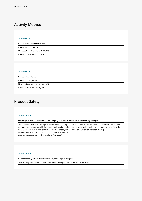## <span id="page-2-0"></span>Activity Metrics

#### **TR-AU-000.A**

Number of vehicles manufactured

Daimler Group: 2,794,730

Mercedes-Benz Cars & Vans: 2,423,724

Daimler Trucks & Buses: 371,006

#### **TR-AU-000.B**

Number of vehicles sold

Daimler Group: 2,840,402

Mercedes-Benz Cars & Vans: 2,461,884

Daimler Trucks & Buses: 378,518

## Product Safety

#### **TR-AU-250a.1**

Percentage of vehicle models rated by NCAP programs with an overall 5-star safety rating, by region

100% Mercedes-Benz new passenger cars in Europe are rated by consumer test organizations with the highest possible rating result. In 2020, the Euro NCAP issued ratings for driving assistance systems in various vehicle models for the first time. The current GLE with its driver assistance package received a rating of "very good."

In 2020, the 2020 Mercedes-Benz E-class received a 5-star rating for the sedan and the station wagon models by the National Highway Traffic Safety Administration (NHTSA).

#### **TR-AU-250a.2**

Number of safety-related defect complaints, percentage investigated

100% of safety-related defect complaints have been investigated by our own retail organization.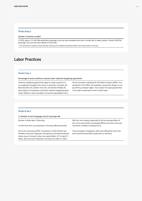#### <span id="page-3-0"></span>**TR-AU-250a.3**

Number of vehicles recalled

In 2020, approx. 3.5 mill. Mercedes-Benz passenger cars and vans worldwide were part of recalls due to safety reasons. Thereof, 850,000 passenger cars and vans were affected in Germany.\*

\* This information is based on issues officially claimed by the Kraftfahrt-Bundesamt (KBA) of the Federal State of Germany.

## Labor Practices

#### **TR-AU-310a.1**

Percentage of active workforce covered under collective bargaining agreements

Collective bargaining agreements apply to a large proportion of our employees throughout the Group. In particular, at Daimler AG, Mercedes-Benz AG, Daimler Truck AG, and Daimler Mobility AG, these apply to all employees covered by collective bargaining agreements. Daimler is also committed to its social responsibility and to

the ten principles underlying the UN Global Compact (UNGC). As a participant in the UNGC, we undertake, among other things, to comply with key employee rights - from respect for equal opportunities to the right to equal pay for work of equal value.

#### **TR-AU-310a.2**

(1) Number of work stoppages and (2) total days idle

Number of strike days: 0 (Germany)

In 2020 there were no productions in Germany affected by strike.

Due to the worsening COVID-19 pandemic in 2020 Daimler had decided to interrupt a large part of production and selected administrative areas in Europe for about two weeks (March 23rd to April 3rd, 2020). Short-time work followed in Germany from April 6<sup>th</sup>, 2020.

With this, the company responded to the far-reaching effects of the corona virus and the increasingly difficult economic and social framework conditions resulting from it.

The percentage of employees, which were affected by short time work reached around 80% at peak times in Germany.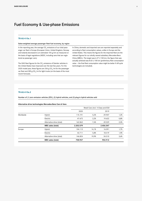## <span id="page-4-0"></span>Fuel Economy & Use-phase Emissions

#### **TR-AU-410a.1**

Sales-weighted average passenger fleet fuel economy, by region

In the reporting year, the average  $\mathrm{CO}_2$  emissions of our total passenger car fleet in Europe (European Union, United Kingdom, Norway and Iceland) decreased to an estimated 104 g/km as measured on the basis of legal regulations (NEDC, including vans that are registered as passenger cars).

The GHG fleet figures for the CO<sub>2</sub> emissions of Daimler vehicles in the United States have improved over the last few years. For the 2020 model year, these figures are 256 g  $\text{CO}_2/\text{mi}$  for the passenger car fleet and 289 g  $CO_2/m$ i for light trucks (on the basis of the most recent forecast).

In China, domestic and imported cars are reported separately and according to fleet consumption values, unlike in Europe and the United States. This means the figures for the imported fleet are the relevant figures for our wholly owned subsidiary Mercedes-Benz China (MBCL). The target was 6.27 l/100 km; the figure that was actually achieved was 8.02 l/100 km (preliminary fleet consumption value — the final fleet consumption value might be better if off-cycle technologies are included).

#### **TR-AU-410a.2**

Number of (1) zero emission vehicles (ZEV), (2) hybrid vehicles, and (3) plug-in hybrid vehicles sold

|           |                           | Retail Cars (incl. V-Class and EQV |           |         |      |  |
|-----------|---------------------------|------------------------------------|-----------|---------|------|--|
|           |                           | 2020                               |           | 2019    |      |  |
| Worldwide | Hybrid                    | 115.191                            | 5,2%      | 29.907  | 1,2% |  |
|           | Electric                  | 47.672                             | 2,2%      | 19.622  | 0,8% |  |
|           | Alternative drive (total) | 162.863                            | 7,4%      | 49.529  | 2,0% |  |
|           | <b>MBC</b> sales (total)  | 2.202.579                          | 2.456.347 |         |      |  |
| Europe    | Hybrid                    | 104.113                            | 14,1%     | 16.091  | 1,7% |  |
|           | Electric                  | 42.711                             | 5,8%      | 18.419  | 1,9% |  |
|           | Alternative drive (total) | 146.824                            | 19,9%     | 34.510  | 3,6% |  |
|           | <b>MBC</b> sales (total)  | 738.957                            |           | 954.912 |      |  |

#### **Alternative drive technologies Mercedes-Benz Cars & Vans**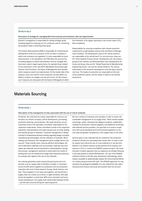#### <span id="page-5-0"></span>**TR-AU-410a.3**

Discussion of strategy for managing fleet fuel economy and emissions risks and opportunities

Daimler's management is responsible for setting strategic goals, including targets for reducing our CO<sub>2</sub> emissions, and for monitoring the progress made in achieving these goals.

The Product Steering Board (PSB) is responsible for monitoring the development of the CO₂ emissions of the car fleet in markets in which such emissions are regulated. It is also responsible for providing forecasts. In its evaluations, the PSB takes into account the increasing degree of vehicle electrification and the changes that have been made to legal requirements, for example those related to the introduction of the new WLTP (Worldwide Harmonized Light Vehicles Test Procedure). The Board of Management then decides which measures need to be implemented. On the market side of the equation, price and volume control measures can also affect our ability to achieve our targets over the short term. For this reason, such measures are discussed with the Board of Management within

the framework of its regular reporting on the current state of CO<sub>2</sub> fleet compliance.

Responsibility for ensuring compliance with climate protection requirements is split between several units and Board of Management members. The development units of the vehicle divisions are responsible at the vehicle level. For cars and vans, these are the "Drive Systems Product Group" development unit, the product groups of the vehicles, and Mercedes-Benz Vans Development; for trucks and buses, they are the "Global Powertrain & Manufacturing Engineering Trucks" unit and the vehicle divisions. The various directorates of the drivetrain development units also play a special role here. The heads of production are responsible at the level of the production plants, and the Heads of Sales at the Daimler showrooms.

### Materials Sourcing

#### **TR-AU-440a.1**

#### Description of the management of risks associated with the use of critical materials

At Daimler, the units that are mainly responsible for resource conservation are vehicle concepts, vehicle development, purchasing, production planning, and production. We make decisions concerning these areas in the specialist committees responsible for the respective model series. These committees consist of the respective subsection representatives and expert groups such as those dealing with specific groups of materials. Corporate management is always involved in fundamental decision-making regarding design concepts, manufacturing technologies, and the utilization of materials. When making such decisions, the management takes multiple factors into account. These include costs, resource-efficient technologies, the use of alternative materials such as secondary materials and renewable raw materials, and the potential for industrialization. During this process, management examines to what extent the results of development can be transferred to large-scale industrial production, for example with regard to the use of raw materials.

Our vehicles generally contain several thousand parts and components, and our supply chain is therefore complex. It comprises around 60,000 direct suppliers for production and non-production materials, with most of them based in Europe, North America, and Asia. These suppliers in turn have sub-suppliers, and sometimes a supply chain can contain up to seven or eight sub-levels, with additional sub-suppliers on each level. With every innovation and every market development, the supply chain dynamically develops further — and this also occurred during the reporting period.

We use a variety of measures and concepts in order to ensure the sustainable management of our supply chain. These include supplier screenings, audits, risk-based due diligence analyses, qualification modules for production material suppliers, and additional workshops with selected service providers. Our goal here is to ensure compliance with social standards and environmental regulations on the one hand and greater transparency in the supply chain on the other.

Several types of raw materials that are needed for the production of electric vehicles are associated with certain risks. In order to better assess how critical the use of a raw material is or can become, Daimler's car division teamed up with partners from industry and science in 2015 to conduct the ESSENZ research project. The result has been a holistic approach that our engineers are already following in the early phases of vehicle development. The use of the ESSENZ method is based on the life cycle assessment methodology, which makes it possible to systematically analyze the environmental effects of a vehicle along its entire life cycle. The ESSENZ approach not only examines the geological availability of a raw material but also takes socioeconomic factors and social and societal risks into account.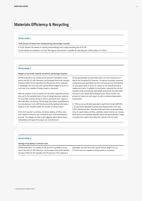## <span id="page-6-0"></span>Materials Efficiency & Recycling

#### **TR-AU-440b.1**

Total amount of waste from manufacturing, percentage recycled

In 2020, Daimler AG (based on majority shareholdings) had a waste recycling rate of 97.6%.

Further details are available in our tool "Key figures environment" *(available for reporting year 2020 by March 29, 2021)*.

#### **TR-AU-440b.2**

#### Weight of end-of-life material recovered, percentage recycled

All Mercedes-Benz car models are 85 percent recyclable in accordance with ISO 22 628. Moreover, the European End-of-Life Vehicles Directive 2000/53/EC specifies that 95 percent of the materials in passenger cars and vans with a gross vehicle weight of up to 3.5 tons have to be capable of being reused or recovered.

With the adoption of the European ELV Directive, requirements were also set for the establishment of free of charge take-back systems for end-of-life vehicles (ELVs) as well as used parts from repairs in Mercedes-Benz workshops. Dismantling information is published by the manufacturer in the IDIS (International Dismantling Information System) to ELV recyclers within six months of market launch.

At the ELV recycler's premises, the fluids, battery, oil filter, tires, and catalytic converters are removed as part of the pretreatment process. The airbags are able to get triggered with a device that is standardized amongst all European car manufacturers.

During dismantling, the prescribed parts are first removed according to the European ELV Directive. To improve recycling, numerous components and assemblies are then removed and are sold directly as used spare parts or serve as a basis for the manufacturing of replacement parts. In addition to used parts, materials that can be recycled using economically appropriate procedures are selectively removed in the vehicle dismantling process. These include components of aluminum and copper as well as selected large plastic components.

In 1996 we set up the Mercedes-Benz Used Parts Center (MB GTC), a Group-owned specialist business that disassembles more than 5,000 vehicles per year. The sale of the parts that are disassembled there to repair shops and final customers means that we are reusing these parts to the greatest possible extent and guaranteeing a range of products for repairs that reflect the vehicle's current value.

#### **TR-AU-440b.3**

#### Average recyclability of vehicles sold

All Mercedes-Benz car models are 85 percent recyclable in accordance with ISO 22 628. Moreover, the European End-of-Life Vehicles Directive 2000/53/EC specifies that 95 percent of the material in

passenger cars and vans with a gross vehicle weight of up to 3.5 tons has to be capable of being reused or recovered.